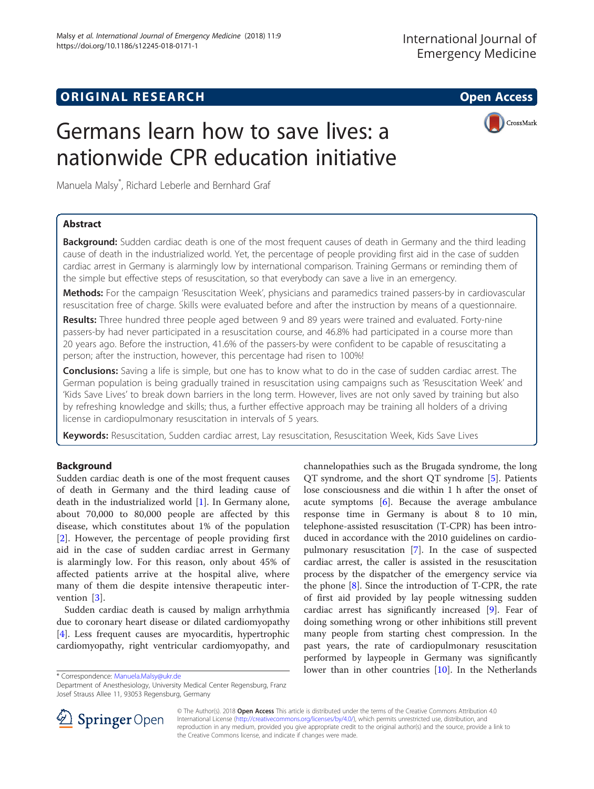# **ORIGINAL RESEARCH And Access** open Access of the United States of the United States of the United States of the U

CrossMark



Manuela Malsy\* , Richard Leberle and Bernhard Graf

# Abstract

**Background:** Sudden cardiac death is one of the most frequent causes of death in Germany and the third leading cause of death in the industrialized world. Yet, the percentage of people providing first aid in the case of sudden cardiac arrest in Germany is alarmingly low by international comparison. Training Germans or reminding them of the simple but effective steps of resuscitation, so that everybody can save a live in an emergency.

Methods: For the campaign 'Resuscitation Week', physicians and paramedics trained passers-by in cardiovascular resuscitation free of charge. Skills were evaluated before and after the instruction by means of a questionnaire.

Results: Three hundred three people aged between 9 and 89 years were trained and evaluated. Forty-nine passers-by had never participated in a resuscitation course, and 46.8% had participated in a course more than 20 years ago. Before the instruction, 41.6% of the passers-by were confident to be capable of resuscitating a person; after the instruction, however, this percentage had risen to 100%!

Conclusions: Saving a life is simple, but one has to know what to do in the case of sudden cardiac arrest. The German population is being gradually trained in resuscitation using campaigns such as 'Resuscitation Week' and 'Kids Save Lives' to break down barriers in the long term. However, lives are not only saved by training but also by refreshing knowledge and skills; thus, a further effective approach may be training all holders of a driving license in cardiopulmonary resuscitation in intervals of 5 years.

Keywords: Resuscitation, Sudden cardiac arrest, Lay resuscitation, Resuscitation Week, Kids Save Lives

# Background

Sudden cardiac death is one of the most frequent causes of death in Germany and the third leading cause of death in the industrialized world [\[1](#page-3-0)]. In Germany alone, about 70,000 to 80,000 people are affected by this disease, which constitutes about 1% of the population [[2\]](#page-3-0). However, the percentage of people providing first aid in the case of sudden cardiac arrest in Germany is alarmingly low. For this reason, only about 45% of affected patients arrive at the hospital alive, where many of them die despite intensive therapeutic inter-vention [[3](#page-3-0)].

Sudden cardiac death is caused by malign arrhythmia due to coronary heart disease or dilated cardiomyopathy [[4\]](#page-3-0). Less frequent causes are myocarditis, hypertrophic cardiomyopathy, right ventricular cardiomyopathy, and

channelopathies such as the Brugada syndrome, the long QT syndrome, and the short QT syndrome [\[5](#page-3-0)]. Patients lose consciousness and die within 1 h after the onset of acute symptoms [[6\]](#page-3-0). Because the average ambulance response time in Germany is about 8 to 10 min, telephone-assisted resuscitation (T-CPR) has been introduced in accordance with the 2010 guidelines on cardiopulmonary resuscitation [[7\]](#page-3-0). In the case of suspected cardiac arrest, the caller is assisted in the resuscitation process by the dispatcher of the emergency service via the phone [[8\]](#page-3-0). Since the introduction of T-CPR, the rate of first aid provided by lay people witnessing sudden cardiac arrest has significantly increased [[9\]](#page-3-0). Fear of doing something wrong or other inhibitions still prevent many people from starting chest compression. In the past years, the rate of cardiopulmonary resuscitation performed by laypeople in Germany was significantly \* Correspondence: [Manuela.Malsy@ukr.de](mailto:Manuela.Malsy@ukr.de) **by a contries for a contries for a contries** [[10](#page-3-0)]. In the Netherlands

Department of Anesthesiology, University Medical Center Regensburg, Franz Josef Strauss Allee 11, 93053 Regensburg, Germany



© The Author(s). 2018 Open Access This article is distributed under the terms of the Creative Commons Attribution 4.0 International License ([http://creativecommons.org/licenses/by/4.0/\)](http://creativecommons.org/licenses/by/4.0/), which permits unrestricted use, distribution, and reproduction in any medium, provided you give appropriate credit to the original author(s) and the source, provide a link to the Creative Commons license, and indicate if changes were made.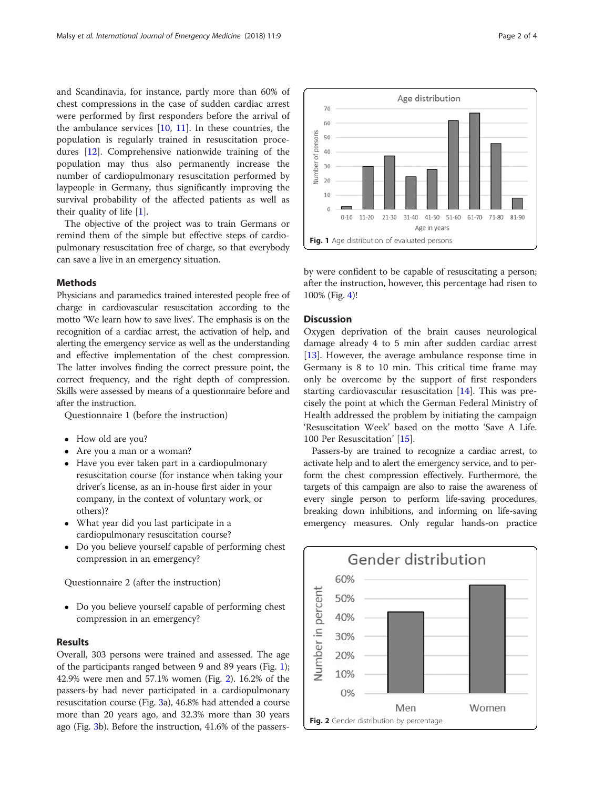and Scandinavia, for instance, partly more than 60% of chest compressions in the case of sudden cardiac arrest were performed by first responders before the arrival of the ambulance services  $[10, 11]$  $[10, 11]$  $[10, 11]$  $[10, 11]$  $[10, 11]$ . In these countries, the population is regularly trained in resuscitation procedures [[12](#page-3-0)]. Comprehensive nationwide training of the population may thus also permanently increase the number of cardiopulmonary resuscitation performed by laypeople in Germany, thus significantly improving the survival probability of the affected patients as well as their quality of life [[1\]](#page-3-0).

The objective of the project was to train Germans or remind them of the simple but effective steps of cardiopulmonary resuscitation free of charge, so that everybody can save a live in an emergency situation.

# Methods

Physicians and paramedics trained interested people free of charge in cardiovascular resuscitation according to the motto 'We learn how to save lives'. The emphasis is on the recognition of a cardiac arrest, the activation of help, and alerting the emergency service as well as the understanding and effective implementation of the chest compression. The latter involves finding the correct pressure point, the correct frequency, and the right depth of compression. Skills were assessed by means of a questionnaire before and after the instruction.

Questionnaire 1 (before the instruction)

- How old are you?
- Are you a man or a woman?
- Have you ever taken part in a cardiopulmonary resuscitation course (for instance when taking your driver's license, as an in-house first aider in your company, in the context of voluntary work, or others)?
- What year did you last participate in a cardiopulmonary resuscitation course?
- Do you believe yourself capable of performing chest compression in an emergency?

Questionnaire 2 (after the instruction)

 Do you believe yourself capable of performing chest compression in an emergency?

# Results

Overall, 303 persons were trained and assessed. The age of the participants ranged between 9 and 89 years (Fig. 1); 42.9% were men and 57.1% women (Fig. 2). 16.2% of the passers-by had never participated in a cardiopulmonary resuscitation course (Fig. [3a](#page-2-0)), 46.8% had attended a course more than 20 years ago, and 32.3% more than 30 years ago (Fig. [3b](#page-2-0)). Before the instruction, 41.6% of the passers-



by were confident to be capable of resuscitating a person; after the instruction, however, this percentage had risen to 100% (Fig. [4](#page-2-0))!

# Discussion

Oxygen deprivation of the brain causes neurological damage already 4 to 5 min after sudden cardiac arrest [[13\]](#page-3-0). However, the average ambulance response time in Germany is 8 to 10 min. This critical time frame may only be overcome by the support of first responders starting cardiovascular resuscitation [\[14](#page-3-0)]. This was precisely the point at which the German Federal Ministry of Health addressed the problem by initiating the campaign 'Resuscitation Week' based on the motto 'Save A Life. 100 Per Resuscitation' [\[15\]](#page-3-0).

Passers-by are trained to recognize a cardiac arrest, to activate help and to alert the emergency service, and to perform the chest compression effectively. Furthermore, the targets of this campaign are also to raise the awareness of every single person to perform life-saving procedures, breaking down inhibitions, and informing on life-saving emergency measures. Only regular hands-on practice

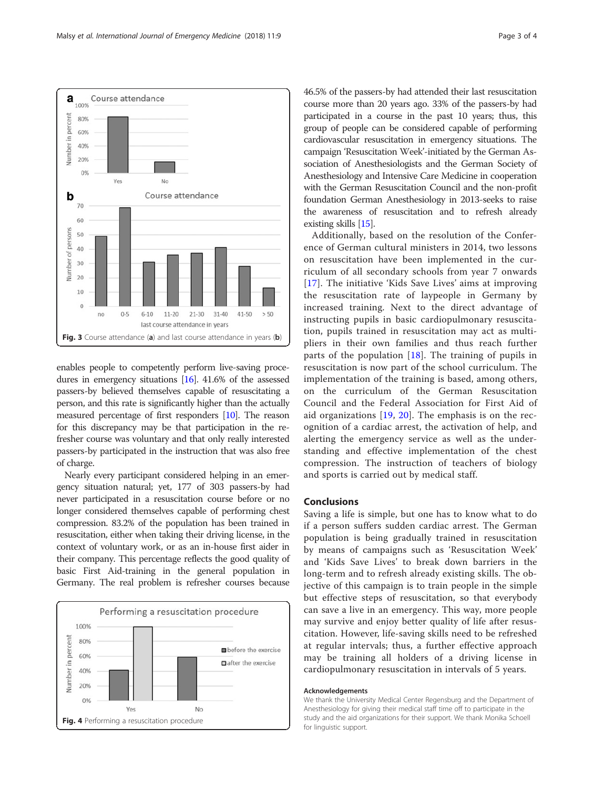enables people to competently perform live-saving procedures in emergency situations [[16](#page-3-0)]. 41.6% of the assessed passers-by believed themselves capable of resuscitating a person, and this rate is significantly higher than the actually measured percentage of first responders [\[10\]](#page-3-0). The reason for this discrepancy may be that participation in the refresher course was voluntary and that only really interested passers-by participated in the instruction that was also free of charge.

Nearly every participant considered helping in an emergency situation natural; yet, 177 of 303 passers-by had never participated in a resuscitation course before or no longer considered themselves capable of performing chest compression. 83.2% of the population has been trained in resuscitation, either when taking their driving license, in the context of voluntary work, or as an in-house first aider in their company. This percentage reflects the good quality of basic First Aid-training in the general population in Germany. The real problem is refresher courses because



46.5% of the passers-by had attended their last resuscitation course more than 20 years ago. 33% of the passers-by had participated in a course in the past 10 years; thus, this group of people can be considered capable of performing cardiovascular resuscitation in emergency situations. The campaign 'Resuscitation Week'-initiated by the German Association of Anesthesiologists and the German Society of Anesthesiology and Intensive Care Medicine in cooperation with the German Resuscitation Council and the non-profit foundation German Anesthesiology in 2013-seeks to raise the awareness of resuscitation and to refresh already existing skills [\[15](#page-3-0)].

Additionally, based on the resolution of the Conference of German cultural ministers in 2014, two lessons on resuscitation have been implemented in the curriculum of all secondary schools from year 7 onwards [[17](#page-3-0)]. The initiative 'Kids Save Lives' aims at improving the resuscitation rate of laypeople in Germany by increased training. Next to the direct advantage of instructing pupils in basic cardiopulmonary resuscitation, pupils trained in resuscitation may act as multipliers in their own families and thus reach further parts of the population  $[18]$  $[18]$ . The training of pupils in resuscitation is now part of the school curriculum. The implementation of the training is based, among others, on the curriculum of the German Resuscitation Council and the Federal Association for First Aid of aid organizations [[19](#page-3-0), [20\]](#page-3-0). The emphasis is on the recognition of a cardiac arrest, the activation of help, and alerting the emergency service as well as the understanding and effective implementation of the chest compression. The instruction of teachers of biology and sports is carried out by medical staff.

# Conclusions

Saving a life is simple, but one has to know what to do if a person suffers sudden cardiac arrest. The German population is being gradually trained in resuscitation by means of campaigns such as 'Resuscitation Week' and 'Kids Save Lives' to break down barriers in the long-term and to refresh already existing skills. The objective of this campaign is to train people in the simple but effective steps of resuscitation, so that everybody can save a live in an emergency. This way, more people may survive and enjoy better quality of life after resuscitation. However, life-saving skills need to be refreshed at regular intervals; thus, a further effective approach may be training all holders of a driving license in cardiopulmonary resuscitation in intervals of 5 years.

#### Acknowledgements

We thank the University Medical Center Regensburg and the Department of Anesthesiology for giving their medical staff time off to participate in the study and the aid organizations for their support. We thank Monika Schoell for linguistic support.

<span id="page-2-0"></span>